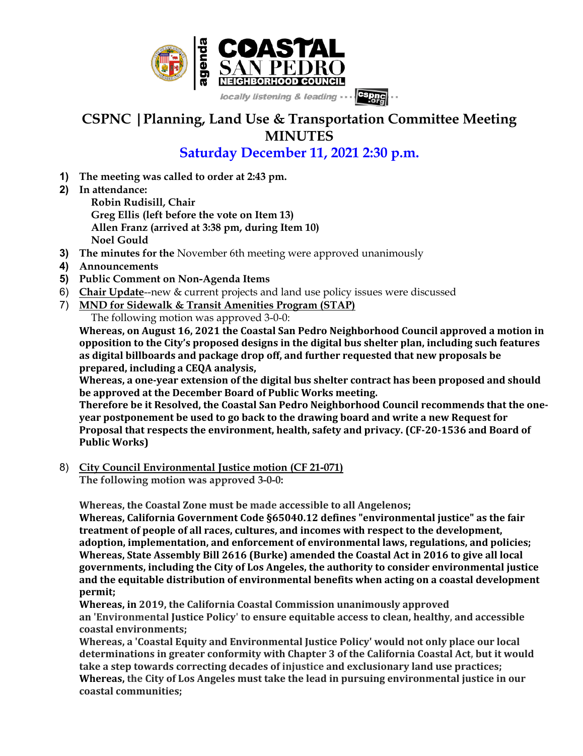

## **CSPNC |Planning, Land Use & Transportation Committee Meeting MINUTES**

**Saturday December 11, 2021 2:30 p.m.**

- **1) The meeting was called to order at 2:43 pm.**
- **2) In attendance:**
	- **Robin Rudisill, Chair Greg Ellis (left before the vote on Item 13) Allen Franz (arrived at 3:38 pm, during Item 10) Noel Gould**
- **3) The minutes for the** November 6th meeting were approved unanimously
- **4) Announcements**
- **5) Public Comment on Non-Agenda Items**
- 6) **Chair Update**--new & current projects and land use policy issues were discussed
- 7) **MND for Sidewalk & Transit Amenities Program (STAP)** The following motion was approved 3-0-0:

Whereas, on August 16, 2021 the Coastal San Pedro Neighborhood Council approved a motion in opposition to the City's proposed designs in the digital bus shelter plan, including such features as digital billboards and package drop off, and further requested that new proposals be prepared, including a CEQA analysis,

Whereas, a one-year extension of the digital bus shelter contract has been proposed and should be approved at the December Board of Public Works meeting.

Therefore be it Resolved, the Coastal San Pedro Neighborhood Council recommends that the one**year postponement be used to go back to the drawing board and write a new Request for** Proposal that respects the environment, health, safety and privacy. (CF-20-1536 and Board of **Public Works)**

8) **City Council Environmental Justice motion (CF 21-071)**

**The following motion was approved 3-0-0:**

**Whereas, the Coastal Zone must be made accessible to all Angelenos;** 

Whereas, California Government Code §65040.12 defines "environmental justice" as the fair treatment of people of all races, cultures, and incomes with respect to the development, adoption, implementation, and enforcement of environmental laws, regulations, and policies; Whereas, State Assembly Bill 2616 (Burke) amended the Coastal Act in 2016 to give all local governments, including the City of Los Angeles, the authority to consider environmental justice and the equitable distribution of environmental benefits when acting on a coastal development **permit;**

**Whereas, in 2019, the California Coastal Commission unanimously approved an 'Environmental Justice Policy' to ensure equitable access to clean, healthy, and accessible coastal environments;**

Whereas, a 'Coastal Equity and Environmental Justice Policy' would not only place our local determinations in greater conformity with Chapter 3 of the California Coastal Act, but it would take a step towards correcting decades of injustice and exclusionary land use practices; **Whereas, the City of Los Angeles must take the lead in pursuing environmental justice in our coastal communities;**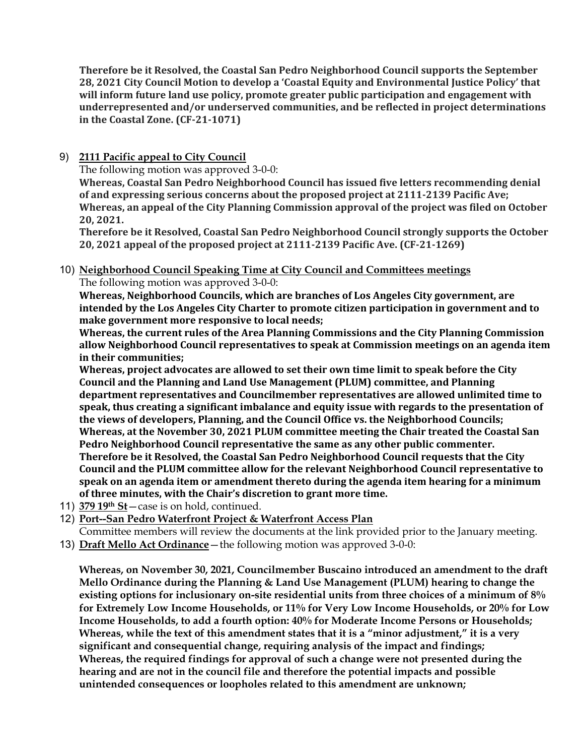**Therefore be it Resolved, the Coastal San Pedro Neighborhood Council supports the September** 28, 2021 City Council Motion to develop a 'Coastal Equity and Environmental Justice Policy' that will inform future land use policy, promote greater public participation and engagement with underrepresented and/or underserved communities, and be reflected in project determinations **in the Coastal Zone.** (CF-21-1071)

9) **2111 Pacific appeal to City Council**

The following motion was approved 3-0-0:

Whereas, Coastal San Pedro Neighborhood Council has issued five letters recommending denial of and expressing serious concerns about the proposed project at 2111-2139 Pacific Ave; Whereas, an appeal of the City Planning Commission approval of the project was filed on October **20, 2021.**

Therefore be it Resolved, Coastal San Pedro Neighborhood Council strongly supports the October 20, 2021 appeal of the proposed project at 2111-2139 Pacific Ave. (CF-21-1269)

10) **Neighborhood Council Speaking Time at City Council and Committees meetings** The following motion was approved 3-0-0:

Whereas, Neighborhood Councils, which are branches of Los Angeles City government, are intended by the Los Angeles City Charter to promote citizen participation in government and to **make government more responsive to local needs:** 

Whereas, the current rules of the Area Planning Commissions and the City Planning Commission allow Neighborhood Council representatives to speak at Commission meetings on an agenda item in their communities;

Whereas, project advocates are allowed to set their own time limit to speak before the City Council and the Planning and Land Use Management (PLUM) committee, and Planning department representatives and Councilmember representatives are allowed unlimited time to speak, thus creating a significant imbalance and equity issue with regards to the presentation of the views of developers, Planning, and the Council Office vs. the Neighborhood Councils; Whereas, at the November 30, 2021 PLUM committee meeting the Chair treated the Coastal San Pedro Neighborhood Council representative the same as any other public commenter. Therefore be it Resolved, the Coastal San Pedro Neighborhood Council requests that the City Council and the PLUM committee allow for the relevant Neighborhood Council representative to speak on an agenda item or amendment thereto during the agenda item hearing for a minimum of three minutes, with the Chair's discretion to grant more time.

- 11) **379 19th St**—case is on hold, continued.
- 12) **Port--San Pedro Waterfront Project & Waterfront Access Plan**
- Committee members will review the documents at the link provided prior to the January meeting.
- 13) **Draft Mello Act Ordinance**—the following motion was approved 3-0-0:

**Whereas, on November 30, 2021, Councilmember Buscaino introduced an amendment to the draft Mello Ordinance during the Planning & Land Use Management (PLUM) hearing to change the existing options for inclusionary on-site residential units from three choices of a minimum of 8% for Extremely Low Income Households, or 11% for Very Low Income Households, or 20% for Low Income Households, to add a fourth option: 40% for Moderate Income Persons or Households; Whereas, while the text of this amendment states that it is a "minor adjustment," it is a very significant and consequential change, requiring analysis of the impact and findings; Whereas, the required findings for approval of such a change were not presented during the hearing and are not in the council file and therefore the potential impacts and possible unintended consequences or loopholes related to this amendment are unknown;**